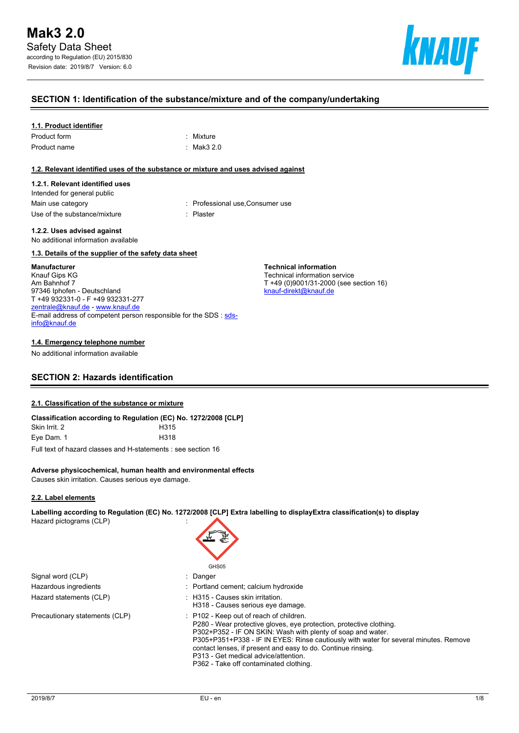

## **SECTION 1: Identification of the substance/mixture and of the company/undertaking**

#### **1.1. Product identifier**

| Product form | : Mixture  |
|--------------|------------|
| Product name | : Mak3 2.0 |

#### **1.2. Relevant identified uses of the substance or mixture and uses advised against**

#### **1.2.1. Relevant identified uses**

Intended for general public Use of the substance/mixture in the substance in the set of the substance of the substance in the set of the s

Main use category **Main use category : Professional use, Consumer use** 

**Technical information** Technical information service

[knauf-direkt@knauf.de](mailto:knauf-direkt@knauf.de)

T +49 (0)9001/31-2000 (see section 16)

#### **1.2.2. Uses advised against** No additional information available

#### **1.3. Details of the supplier of the safety data sheet**

#### **Manufacturer**

Knauf Gips KG Am Bahnhof 7 97346 Iphofen - Deutschland T +49 932331-0 - F +49 932331-277 [zentrale@knauf.de](mailto:zentrale@knauf.de) - <www.knauf.de> E-mail address of competent person responsible for the SDS : [sds](mailto:sds-info@knauf.de)[info@knauf.de](mailto:sds-info@knauf.de)

#### **1.4. Emergency telephone number**

No additional information available

## **SECTION 2: Hazards identification**

#### **2.1. Classification of the substance or mixture**

| Classification according to Regulation (EC) No. 1272/2008 [CLP] |                  |
|-----------------------------------------------------------------|------------------|
| Skin Irrit. 2                                                   | H <sub>315</sub> |
| Eve Dam. 1                                                      | H318             |

Full text of hazard classes and H-statements : see section 16

#### **Adverse physicochemical, human health and environmental effects**

Causes skin irritation. Causes serious eye damage.

#### **2.2. Label elements**

**Labelling according to Regulation (EC) No. 1272/2008 [CLP] Extra labelling to displayExtra classification(s) to display** Hazard pictograms (CLP) :

Signal word (CLP) : Danger Hazardous ingredients **interest in the Community** Portland cement; calcium hydroxide Hazard statements (CLP)  $\qquad \qquad$ : H315 - Causes skin irritation.

# GH<sub>S05</sub> H318 - Causes serious eye damage.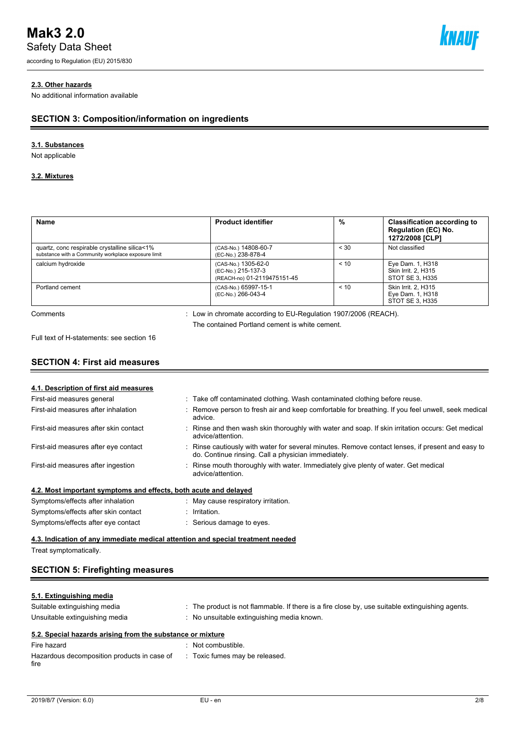Safety Data Sheet

according to Regulation (EU) 2015/830



## **2.3. Other hazards**

No additional information available

## **SECTION 3: Composition/information on ingredients**

## **3.1. Substances**

Not applicable

## **3.2. Mixtures**

| Name                                                                                                 | <b>Product identifier</b>                                                                                         | %    | <b>Classification according to</b><br><b>Regulation (EC) No.</b><br>1272/2008 [CLP] |
|------------------------------------------------------------------------------------------------------|-------------------------------------------------------------------------------------------------------------------|------|-------------------------------------------------------------------------------------|
| quartz, conc respirable crystalline silica<1%<br>substance with a Community workplace exposure limit | (CAS-No.) 14808-60-7<br>(EC-No.) 238-878-4                                                                        | < 30 | Not classified                                                                      |
| calcium hydroxide                                                                                    | (CAS-No.) 1305-62-0<br>(EC-No.) 215-137-3<br>(REACH-no) 01-2119475151-45                                          | < 10 | Eye Dam. 1, H318<br>Skin Irrit. 2. H315<br>STOT SE 3, H335                          |
| Portland cement                                                                                      | (CAS-No.) 65997-15-1<br>(EC-No.) 266-043-4                                                                        | < 10 | <b>Skin Irrit. 2. H315</b><br>Eye Dam. 1, H318<br>STOT SE 3, H335                   |
| Comments                                                                                             | : Low in chromate according to EU-Regulation 1907/2006 (REACH).<br>The contained Portland cement is white cement. |      |                                                                                     |

Full text of H-statements: see section 16

## **SECTION 4: First aid measures**

| 4.1. Description of first aid measures                                          |                                                                                                                                                         |
|---------------------------------------------------------------------------------|---------------------------------------------------------------------------------------------------------------------------------------------------------|
| First-aid measures general                                                      | : Take off contaminated clothing. Wash contaminated clothing before reuse.                                                                              |
| First-aid measures after inhalation                                             | Remove person to fresh air and keep comfortable for breathing. If you feel unwell, seek medical<br>advice.                                              |
| First-aid measures after skin contact                                           | Rinse and then wash skin thoroughly with water and soap. If skin irritation occurs: Get medical<br>advice/attention.                                    |
| First-aid measures after eye contact                                            | : Rinse cautiously with water for several minutes. Remove contact lenses, if present and easy to<br>do. Continue rinsing. Call a physician immediately. |
| First-aid measures after ingestion                                              | Rinse mouth thoroughly with water. Immediately give plenty of water. Get medical<br>advice/attention.                                                   |
| 4.2. Most important symptoms and effects, both acute and delayed                |                                                                                                                                                         |
| Symptoms/effects after inhalation                                               | May cause respiratory irritation.                                                                                                                       |
| Symptoms/effects after skin contact                                             | Irritation.                                                                                                                                             |
| Symptoms/effects after eye contact                                              | Serious damage to eyes.                                                                                                                                 |
| 4.3. Indication of any immediate medical attention and special treatment needed |                                                                                                                                                         |

Treat symptomatically.

## **SECTION 5: Firefighting measures**

## **5.1. Extinguishing media**

| Suitable extinguishing media<br>Unsuitable extinguishing media | : The product is not flammable. If there is a fire close by, use suitable extinguishing agents.<br>No unsuitable extinguishing media known. |
|----------------------------------------------------------------|---------------------------------------------------------------------------------------------------------------------------------------------|
| 5.2. Special hazards arising from the substance or mixture     |                                                                                                                                             |
| Fire hazard                                                    | Not combustible.                                                                                                                            |

| Hazardous decomposition products in case of : Toxic fumes may be released.<br>fire | 11162414 | . TVOL COMBOSHDIC. |
|------------------------------------------------------------------------------------|----------|--------------------|
|                                                                                    |          |                    |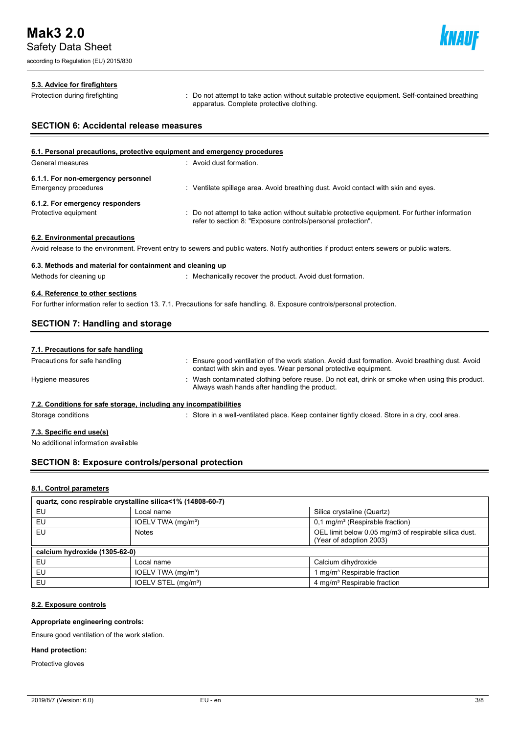according to Regulation (EU) 2015/830



#### **5.3. Advice for firefighters**

Protection during firefighting **intercontage action**: Do not attempt to take action without suitable protective equipment. Self-contained breathing apparatus. Complete protective clothing.

## **SECTION 6: Accidental release measures**

| 6.1. Personal precautions, protective equipment and emergency procedures |                                                                                                                                                                |  |  |  |
|--------------------------------------------------------------------------|----------------------------------------------------------------------------------------------------------------------------------------------------------------|--|--|--|
| General measures                                                         | : Avoid dust formation.                                                                                                                                        |  |  |  |
| 6.1.1. For non-emergency personnel                                       |                                                                                                                                                                |  |  |  |
| <b>Emergency procedures</b>                                              | Ventilate spillage area. Avoid breathing dust. Avoid contact with skin and eyes.                                                                               |  |  |  |
| 6.1.2. For emergency responders                                          |                                                                                                                                                                |  |  |  |
| Protective equipment                                                     | : Do not attempt to take action without suitable protective equipment. For further information<br>refer to section 8: "Exposure controls/personal protection". |  |  |  |
| 6.2. Environmental precautions                                           |                                                                                                                                                                |  |  |  |

Avoid release to the environment. Prevent entry to sewers and public waters. Notify authorities if product enters sewers or public waters.

## **6.3. Methods and material for containment and cleaning up**

Methods for cleaning up : Mechanically recover the product. Avoid dust formation.

## **6.4. Reference to other sections**

For further information refer to section 13. 7.1. Precautions for safe handling. 8. Exposure controls/personal protection.

## **SECTION 7: Handling and storage**

| 7.1. Precautions for safe handling                                |                                                                                                                                                                     |
|-------------------------------------------------------------------|---------------------------------------------------------------------------------------------------------------------------------------------------------------------|
| Precautions for safe handling                                     | : Ensure good ventilation of the work station. Avoid dust formation. Avoid breathing dust. Avoid<br>contact with skin and eyes. Wear personal protective equipment. |
| Hygiene measures                                                  | : Wash contaminated clothing before reuse. Do not eat, drink or smoke when using this product<br>Always wash hands after handling the product.                      |
| 7.2. Conditions for safe storage, including any incompatibilities |                                                                                                                                                                     |
| Storage conditions                                                | : Store in a well-ventilated place. Keep container tightly closed. Store in a dry, cool area.                                                                       |

## **7.3. Specific end use(s)**

No additional information available

## **SECTION 8: Exposure controls/personal protection**

#### **8.1. Control parameters**

| quartz, conc respirable crystalline silica<1% (14808-60-7) |                                 |                                                                                  |  |  |
|------------------------------------------------------------|---------------------------------|----------------------------------------------------------------------------------|--|--|
| EU                                                         | Local name                      | Silica crystaline (Quartz)                                                       |  |  |
| EU                                                         | IOELV TWA (mg/m <sup>3</sup> )  | $0,1$ mg/m <sup>3</sup> (Respirable fraction)                                    |  |  |
| EU                                                         | <b>Notes</b>                    | OEL limit below 0.05 mg/m3 of respirable silica dust.<br>(Year of adoption 2003) |  |  |
| calcium hydroxide (1305-62-0)                              |                                 |                                                                                  |  |  |
| EU                                                         | Local name                      | Calcium dihydroxide                                                              |  |  |
| EU                                                         | IOELV TWA (mg/m <sup>3</sup> )  | I mg/m <sup>3</sup> Respirable fraction                                          |  |  |
| EU                                                         | IOELV STEL (mg/m <sup>3</sup> ) | 4 mg/m <sup>3</sup> Respirable fraction                                          |  |  |

## **8.2. Exposure controls**

#### **Appropriate engineering controls:**

Ensure good ventilation of the work station.

## **Hand protection:**

Protective gloves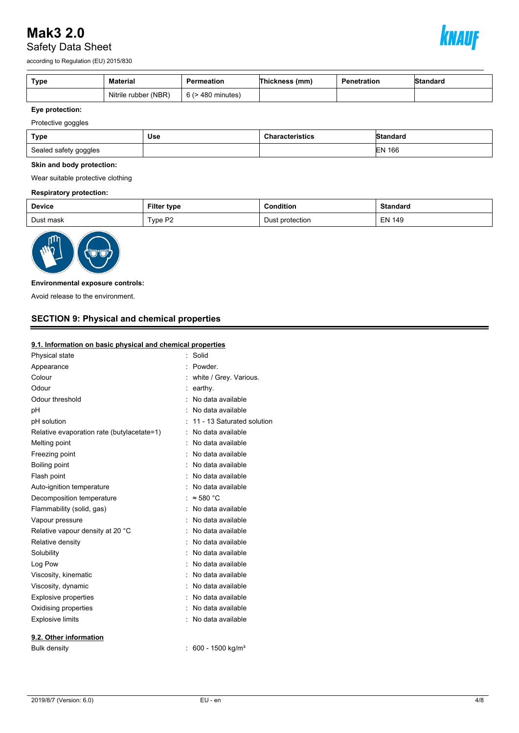

according to Regulation (EU) 2015/830

| Type | Material             | Permeation             | Thickness (mm) | Penetration | Standard |
|------|----------------------|------------------------|----------------|-------------|----------|
|      | Nitrile rubber (NBR) | $6$ ( $>$ 480 minutes) |                |             |          |

## **Eye protection:**

Protective goggles

| Type                  | Use | <b>Characteristics</b> | <b>Standard</b> |
|-----------------------|-----|------------------------|-----------------|
| Sealed safety goggles |     |                        | <b>EN 166</b>   |

#### **Skin and body protection:**

Wear suitable protective clothing

## **Respiratory protection:**

| <b>Device</b> | <b>Filter type</b> | Condition       | <b>Standard</b> |
|---------------|--------------------|-----------------|-----------------|
| Dust mask     | Type P2            | Dust protection | <b>EN 149</b>   |



#### **Environmental exposure controls:**

Avoid release to the environment.

## **SECTION 9: Physical and chemical properties**

#### **9.1. Information on basic physical and chemical properties**

| Physical state                             | Solid                        |
|--------------------------------------------|------------------------------|
| Appearance                                 | Powder.                      |
| Colour                                     | white / Grey. Various.       |
| Odour                                      | earthy.                      |
| Odour threshold                            | No data available            |
| рH                                         | No data available            |
| pH solution                                | 11 - 13 Saturated solution   |
| Relative evaporation rate (butylacetate=1) | No data available            |
| Melting point                              | No data available            |
| Freezing point                             | No data available            |
| Boiling point                              | No data available            |
| Flash point                                | No data available            |
| Auto-ignition temperature                  | No data available            |
| Decomposition temperature                  | $\approx$ 580 °C             |
| Flammability (solid, gas)                  | No data available            |
| Vapour pressure                            | No data available            |
| Relative vapour density at 20 °C           | No data available            |
| Relative density                           | No data available            |
| Solubility                                 | No data available            |
| Log Pow                                    | No data available            |
| Viscosity, kinematic                       | No data available            |
| Viscosity, dynamic                         | No data available            |
| <b>Explosive properties</b>                | No data available            |
| Oxidising properties                       | No data available            |
| <b>Explosive limits</b>                    | No data available            |
|                                            |                              |
| 9.2. Other information                     |                              |
| <b>Bulk density</b>                        | 600 - 1500 kg/m <sup>3</sup> |
|                                            |                              |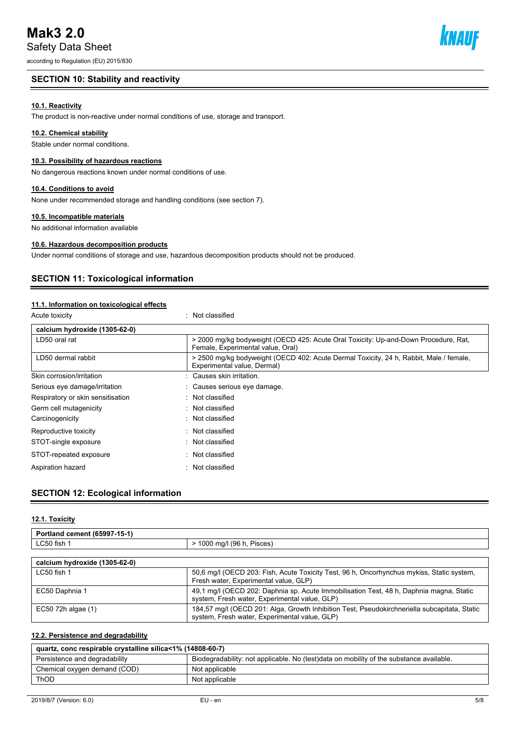according to Regulation (EU) 2015/830

## **SECTION 10: Stability and reactivity**

## **10.1. Reactivity**

The product is non-reactive under normal conditions of use, storage and transport.

#### **10.2. Chemical stability**

Stable under normal conditions.

## **10.3. Possibility of hazardous reactions**

No dangerous reactions known under normal conditions of use.

#### **10.4. Conditions to avoid**

None under recommended storage and handling conditions (see section 7).

#### **10.5. Incompatible materials**

No additional information available

## **10.6. Hazardous decomposition products**

Under normal conditions of storage and use, hazardous decomposition products should not be produced.

## **SECTION 11: Toxicological information**

## **11.1. Information on toxicological effects**

| Acute toxicity                    | Not classified<br>۰.                                                                                                     |  |  |
|-----------------------------------|--------------------------------------------------------------------------------------------------------------------------|--|--|
| calcium hydroxide (1305-62-0)     |                                                                                                                          |  |  |
| LD50 oral rat                     | > 2000 mg/kg bodyweight (OECD 425: Acute Oral Toxicity: Up-and-Down Procedure, Rat,<br>Female, Experimental value, Oral) |  |  |
| LD50 dermal rabbit                | > 2500 mg/kg bodyweight (OECD 402: Acute Dermal Toxicity, 24 h, Rabbit, Male / female,<br>Experimental value, Dermal)    |  |  |
| Skin corrosion/irritation         | : Causes skin irritation.                                                                                                |  |  |
| Serious eye damage/irritation     | Causes serious eye damage.                                                                                               |  |  |
| Respiratory or skin sensitisation | : Not classified                                                                                                         |  |  |
| Germ cell mutagenicity            | $\therefore$ Not classified                                                                                              |  |  |
| Carcinogenicity                   | : Not classified                                                                                                         |  |  |
| Reproductive toxicity             | $\therefore$ Not classified                                                                                              |  |  |
| STOT-single exposure              | Not classified                                                                                                           |  |  |
| STOT-repeated exposure            | : Not classified                                                                                                         |  |  |
| Aspiration hazard                 | $\therefore$ Not classified                                                                                              |  |  |

## **SECTION 12: Ecological information**

#### **12.1. Toxicity**

| Portland cement (65997-15-1)  |                            |  |
|-------------------------------|----------------------------|--|
| LC50 fish 1                   | > 1000 mg/l (96 h, Pisces) |  |
|                               |                            |  |
| calcium hydroxide (1305-62-0) |                            |  |

| LC50 fish 1            | 50,6 mg/l (OECD 203: Fish, Acute Toxicity Test, 96 h, Oncorhynchus mykiss, Static system,<br>Fresh water, Experimental value, GLP)            |
|------------------------|-----------------------------------------------------------------------------------------------------------------------------------------------|
| EC50 Daphnia 1         | 49,1 mg/l (OECD 202: Daphnia sp. Acute Immobilisation Test, 48 h, Daphnia magna, Static<br>system, Fresh water, Experimental value, GLP)      |
| $EC50$ 72h algae $(1)$ | 184,57 mg/l (OECD 201: Alga, Growth Inhibition Test, Pseudokirchneriella subcapitata, Static<br>system, Fresh water, Experimental value, GLP) |

## **12.2. Persistence and degradability**

| quartz, conc respirable crystalline silica<1% (14808-60-7) |                                                                                         |  |
|------------------------------------------------------------|-----------------------------------------------------------------------------------------|--|
| Persistence and degradability                              | Biodegradability: not applicable. No (test)data on mobility of the substance available. |  |
| Chemical oxygen demand (COD)                               | Not applicable                                                                          |  |
| ThOD                                                       | Not applicable                                                                          |  |

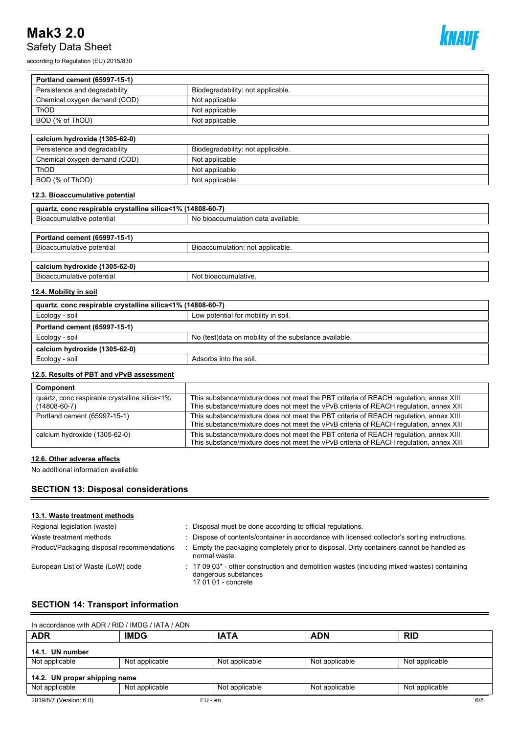according to Regulation (EU) 2015/830



| Portland cement (65997-15-1)                               |                                                       |
|------------------------------------------------------------|-------------------------------------------------------|
| Persistence and degradability                              | Biodegradability: not applicable.                     |
| Chemical oxygen demand (COD)                               | Not applicable                                        |
| ThOD                                                       | Not applicable                                        |
| BOD (% of ThOD)                                            | Not applicable                                        |
|                                                            |                                                       |
| calcium hydroxide (1305-62-0)                              |                                                       |
| Persistence and degradability                              | Biodegradability: not applicable.                     |
| Chemical oxygen demand (COD)                               | Not applicable                                        |
| ThOD                                                       | Not applicable                                        |
| BOD (% of ThOD)                                            | Not applicable                                        |
| 12.3. Bioaccumulative potential                            |                                                       |
| quartz, conc respirable crystalline silica<1% (14808-60-7) |                                                       |
| Bioaccumulative potential                                  | No bioaccumulation data available.                    |
|                                                            |                                                       |
| Portland cement (65997-15-1)                               |                                                       |
| Bioaccumulative potential                                  | Bioaccumulation: not applicable.                      |
| calcium hydroxide (1305-62-0)                              |                                                       |
| Bioaccumulative potential                                  | Not bioaccumulative.                                  |
| 12.4. Mobility in soil                                     |                                                       |
| quartz, conc respirable crystalline silica<1% (14808-60-7) |                                                       |
| Ecology - soil                                             | Low potential for mobility in soil.                   |
| Portland cement (65997-15-1)                               |                                                       |
| Ecology - soil                                             | No (test)data on mobility of the substance available. |
| calcium hydroxide (1305-62-0)                              |                                                       |
| Ecology - soil                                             | Adsorbs into the soil.                                |
| . <b>. .</b>                                               |                                                       |

## **12.5. Results of PBT and vPvB assessment**

| Component                                                           |                                                                                                                                                                                 |
|---------------------------------------------------------------------|---------------------------------------------------------------------------------------------------------------------------------------------------------------------------------|
| quartz, conc respirable crystalline silica<1%<br>$(14808 - 60 - 7)$ | This substance/mixture does not meet the PBT criteria of REACH regulation, annex XIII<br>This substance/mixture does not meet the vPvB criteria of REACH regulation, annex XIII |
| Portland cement (65997-15-1)                                        | This substance/mixture does not meet the PBT criteria of REACH requlation, annex XIII<br>This substance/mixture does not meet the vPvB criteria of REACH regulation, annex XIII |
| calcium hydroxide (1305-62-0)                                       | This substance/mixture does not meet the PBT criteria of REACH regulation, annex XIII<br>This substance/mixture does not meet the vPvB criteria of REACH regulation, annex XIII |

## **12.6. Other adverse effects**

No additional information available

## **SECTION 13: Disposal considerations**

#### **13.1. Waste treatment methods**

| Regional legislation (waste)               | Disposal must be done according to official regulations.                                                                                                         |
|--------------------------------------------|------------------------------------------------------------------------------------------------------------------------------------------------------------------|
| Waste treatment methods                    | Dispose of contents/container in accordance with licensed collector's sorting instructions.                                                                      |
| Product/Packaging disposal recommendations | Empty the packaging completely prior to disposal. Dirty containers cannot be handled as<br>normal waste.                                                         |
| European List of Waste (LoW) code          | $\therefore$ 17 09 03 <sup>*</sup> - other construction and demolition wastes (including mixed wastes) containing<br>dangerous substances<br>17 01 01 - concrete |

## **SECTION 14: Transport information**

| In accordance with ADR / RID / IMDG / IATA / ADN |                |                |                |                |
|--------------------------------------------------|----------------|----------------|----------------|----------------|
| <b>ADR</b>                                       | <b>IMDG</b>    | <b>IATA</b>    | <b>ADN</b>     | <b>RID</b>     |
| 14.1. UN number                                  |                |                |                |                |
| Not applicable                                   | Not applicable | Not applicable | Not applicable | Not applicable |
| 14.2. UN proper shipping name                    |                |                |                |                |
| Not applicable                                   | Not applicable | Not applicable | Not applicable | Not applicable |
| 2019/8/7 (Version: 6.0)                          | $EU - en$      |                |                | 6/8            |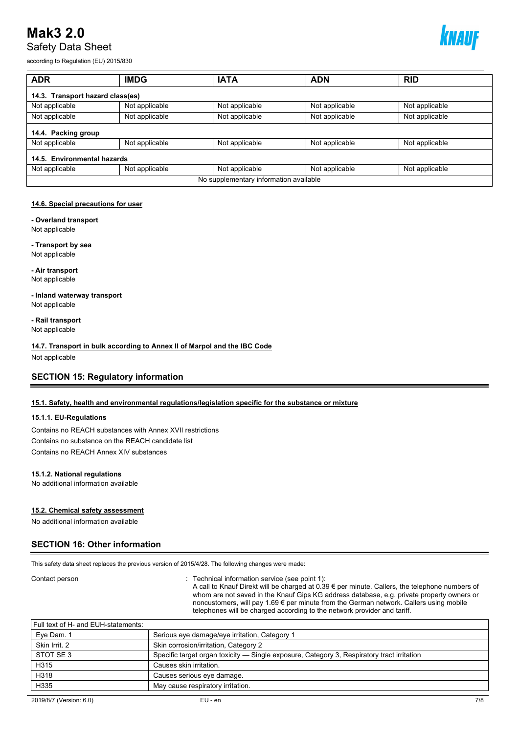

according to Regulation (EU) 2015/830

| <b>ADR</b>                             | <b>IMDG</b>    | <b>IATA</b>    | <b>ADN</b>     | <b>RID</b>     |
|----------------------------------------|----------------|----------------|----------------|----------------|
| 14.3. Transport hazard class(es)       |                |                |                |                |
| Not applicable                         | Not applicable | Not applicable | Not applicable | Not applicable |
| Not applicable                         | Not applicable | Not applicable | Not applicable | Not applicable |
| 14.4. Packing group                    |                |                |                |                |
| Not applicable                         | Not applicable | Not applicable | Not applicable | Not applicable |
| 14.5. Environmental hazards            |                |                |                |                |
| Not applicable                         | Not applicable | Not applicable | Not applicable | Not applicable |
| No supplementary information available |                |                |                |                |

## **14.6. Special precautions for user**

**- Overland transport**

Not applicable

**- Transport by sea** Not applicable

**- Air transport** Not applicable

**- Inland waterway transport** Not applicable

**- Rail transport** Not applicable

**14.7. Transport in bulk according to Annex II of Marpol and the IBC Code**

Not applicable

## **SECTION 15: Regulatory information**

## **15.1. Safety, health and environmental regulations/legislation specific for the substance or mixture**

#### **15.1.1. EU-Regulations**

Contains no REACH substances with Annex XVII restrictions Contains no substance on the REACH candidate list Contains no REACH Annex XIV substances

## **15.1.2. National regulations**

No additional information available

## **15.2. Chemical safety assessment**

No additional information available

## **SECTION 16: Other information**

This safety data sheet replaces the previous version of 2015/4/28. The following changes were made:

#### Contact person **interval information service** (see point 1): Technical information service (see point 1):

A call to Knauf Direkt will be charged at 0.39 € per minute. Callers, the telephone numbers of whom are not saved in the Knauf Gips KG address database, e.g. private property owners or noncustomers, will pay 1.69 € per minute from the German network. Callers using mobile telephones will be charged according to the network provider and tariff.

# Full text of H- and EUH-statements: Eye Dam. 1 Serious eye damage/eye irritation, Category 1

| Skin Irrit, 2 | Skin corrosion/irritation, Category 2                                                      |
|---------------|--------------------------------------------------------------------------------------------|
| STOT SE3      | Specific target organ toxicity — Single exposure, Category 3, Respiratory tract irritation |
| H315          | Causes skin irritation.                                                                    |
| H318          | Causes serious eye damage.                                                                 |
| H335          | May cause respiratory irritation.                                                          |